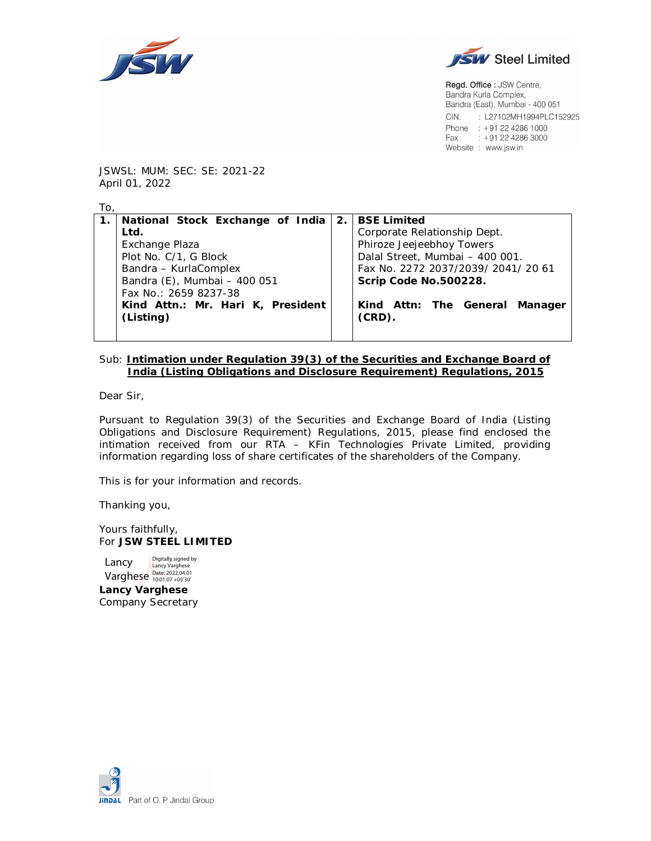



Regd. Office: JSW Centre, Bandra Kurla Complex, Bandra (East), Mumbai - 400 051 CIN. : L27102MH1994PLC152925 Phone : +91 22 4286 1000 Fax: : +91 22 4286 3000 Website : www.jsw.in

JSWSL: MUM: SEC: SE: 2021-22 April 01, 2022

| To.            |                                   |                                     |  |  |  |
|----------------|-----------------------------------|-------------------------------------|--|--|--|
| $\mathbf{1}$ . | National Stock Exchange of India  | 2. BSE Limited                      |  |  |  |
|                | Ltd.                              | Corporate Relationship Dept.        |  |  |  |
|                | Exchange Plaza                    | Phiroze Jeejeebhoy Towers           |  |  |  |
|                | Plot No. C/1, G Block             | Dalal Street, Mumbai - 400 001.     |  |  |  |
|                | Bandra - KurlaComplex             | Fax No. 2272 2037/2039/ 2041/ 20 61 |  |  |  |
|                | Bandra (E), Mumbai - 400 051      | Scrip Code No.500228.               |  |  |  |
|                | Fax No.: 2659 8237-38             |                                     |  |  |  |
|                | Kind Attn.: Mr. Hari K, President | Kind Attn: The General Manager      |  |  |  |
|                | (Listing)                         | (CRD).                              |  |  |  |
|                |                                   |                                     |  |  |  |

### Sub: **Intimation under Regulation 39(3) of the Securities and Exchange Board of India (Listing Obligations and Disclosure Requirement) Regulations, 2015**

Dear Sir,

Pursuant to Regulation 39(3) of the Securities and Exchange Board of India (Listing Obligations and Disclosure Requirement) Regulations, 2015, please find enclosed the intimation received from our RTA – KFin Technologies Private Limited, providing information regarding loss of share certificates of the shareholders of the Company.

This is for your information and records.

Thanking you,

Yours faithfully, For **JSW STEEL LIMITED**

**Lancy Varghese** Company Secretary Lancy Lancy Varghese<br>
Varghese Date: 2022.04.01 Digitally signed by

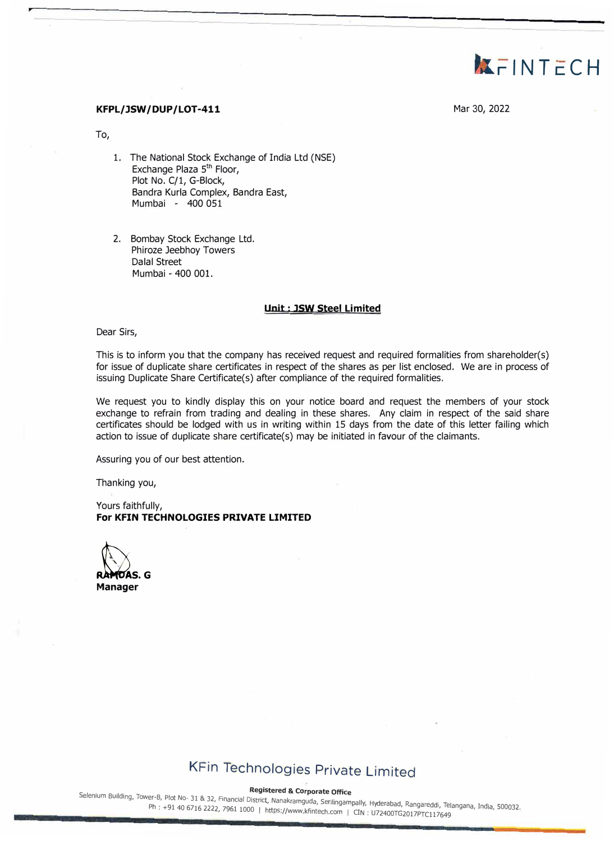

### **KFPL/JSW/DUP/LOT-411 Mar 30, 2022**

To,

- 1. The National Stock Exchange of India Ltd (NSE) Exchange Plaza 5<sup>th</sup> Floor, Plot No. C/1, G-Block, Bandra Kurla Complex, Bandra East, Mumbai - 400 051
- 2. Bombay Stock Exchange Ltd. Phiroze Jeebhoy Towers Dalal Street Mumbai - 400 001.

#### **Unit : JSW Steel Limited**

Dear Sirs,

This is to inform you that the company has received request and required formalities from shareholder(s) for issue of duplicate share certificates in respect of the shares as per list enclosed. We are in process of issuing Duplicate Share Certificate(s) after compliance of the required formalities.

We request you to kindly display this on your notice board and request the members of your stock exchange to refrain from trading and dealing in these shares. Any claim in respect of the said share certificates should be lodged with us in writing within 15 days from the date of this letter failing which action to issue of duplicate share certificate(s) may be initiated in favour of the claimants.

Assuring you of our best attention.

Thanking you,

Yours faithfully, **For KFIN TECHNOLOGIES PRIVATE LIMITED** 

**ANDAS.** G **Manager** 

# KFin Technologies Private Limited

Registered & Corporate Office<br>Selenium Building, Tower-B, Plot No- 31 & 32, Financial District, Nanakramguda, Serilingampally, Hyderabad, Rangareddi, Telangana, India, 500032.<br>Ph: +91 40 6716 2222, 7961 1000 | https://www. , /961 1000 | https://www.kfintech.com | CIN : U72400TG2017PTC117649